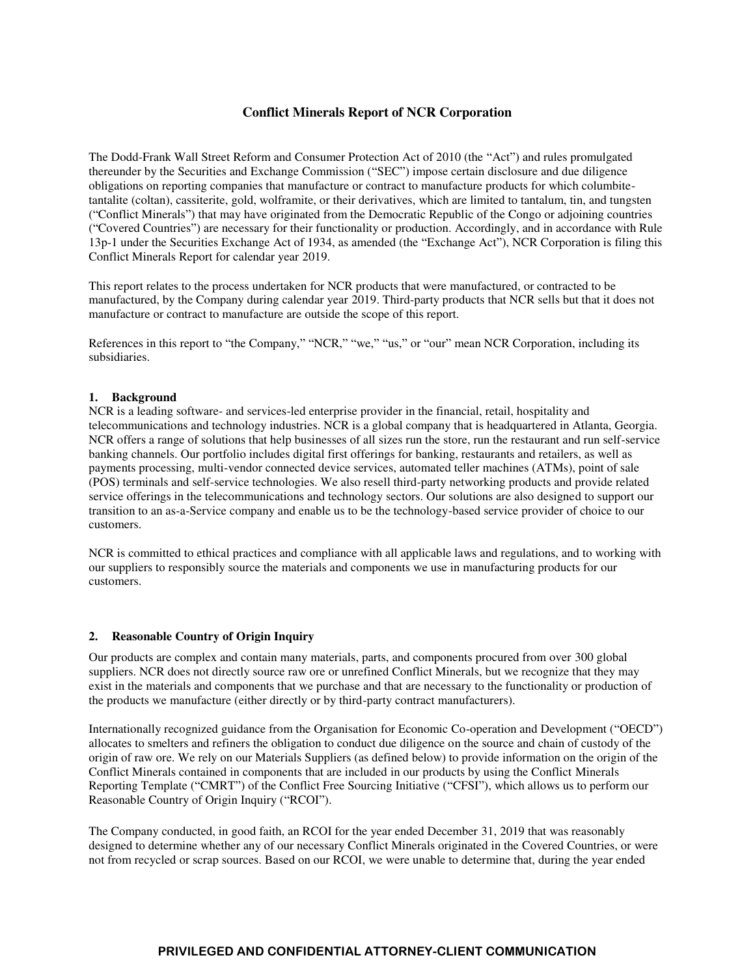## **Conflict Minerals Report of NCR Corporation**

The Dodd-Frank Wall Street Reform and Consumer Protection Act of 2010 (the "Act") and rules promulgated thereunder by the Securities and Exchange Commission ("SEC") impose certain disclosure and due diligence obligations on reporting companies that manufacture or contract to manufacture products for which columbitetantalite (coltan), cassiterite, gold, wolframite, or their derivatives, which are limited to tantalum, tin, and tungsten ("Conflict Minerals") that may have originated from the Democratic Republic of the Congo or adjoining countries ("Covered Countries") are necessary for their functionality or production. Accordingly, and in accordance with Rule 13p-1 under the Securities Exchange Act of 1934, as amended (the "Exchange Act"), NCR Corporation is filing this Conflict Minerals Report for calendar year 2019.

This report relates to the process undertaken for NCR products that were manufactured, or contracted to be manufactured, by the Company during calendar year 2019. Third-party products that NCR sells but that it does not manufacture or contract to manufacture are outside the scope of this report.

References in this report to "the Company," "NCR," "we," "us," or "our" mean NCR Corporation, including its subsidiaries.

## **1. Background**

NCR is a leading software- and services-led enterprise provider in the financial, retail, hospitality and telecommunications and technology industries. NCR is a global company that is headquartered in Atlanta, Georgia. NCR offers a range of solutions that help businesses of all sizes run the store, run the restaurant and run self-service banking channels. Our portfolio includes digital first offerings for banking, restaurants and retailers, as well as payments processing, multi-vendor connected device services, automated teller machines (ATMs), point of sale (POS) terminals and self-service technologies. We also resell third-party networking products and provide related service offerings in the telecommunications and technology sectors. Our solutions are also designed to support our transition to an as-a-Service company and enable us to be the technology-based service provider of choice to our customers.

NCR is committed to ethical practices and compliance with all applicable laws and regulations, and to working with our suppliers to responsibly source the materials and components we use in manufacturing products for our customers.

## **2. Reasonable Country of Origin Inquiry**

Our products are complex and contain many materials, parts, and components procured from over 300 global suppliers. NCR does not directly source raw ore or unrefined Conflict Minerals, but we recognize that they may exist in the materials and components that we purchase and that are necessary to the functionality or production of the products we manufacture (either directly or by third-party contract manufacturers).

Internationally recognized guidance from the Organisation for Economic Co-operation and Development ("OECD") allocates to smelters and refiners the obligation to conduct due diligence on the source and chain of custody of the origin of raw ore. We rely on our Materials Suppliers (as defined below) to provide information on the origin of the Conflict Minerals contained in components that are included in our products by using the Conflict Minerals Reporting Template ("CMRT") of the Conflict Free Sourcing Initiative ("CFSI"), which allows us to perform our Reasonable Country of Origin Inquiry ("RCOI").

The Company conducted, in good faith, an RCOI for the year ended December 31, 2019 that was reasonably designed to determine whether any of our necessary Conflict Minerals originated in the Covered Countries, or were not from recycled or scrap sources. Based on our RCOI, we were unable to determine that, during the year ended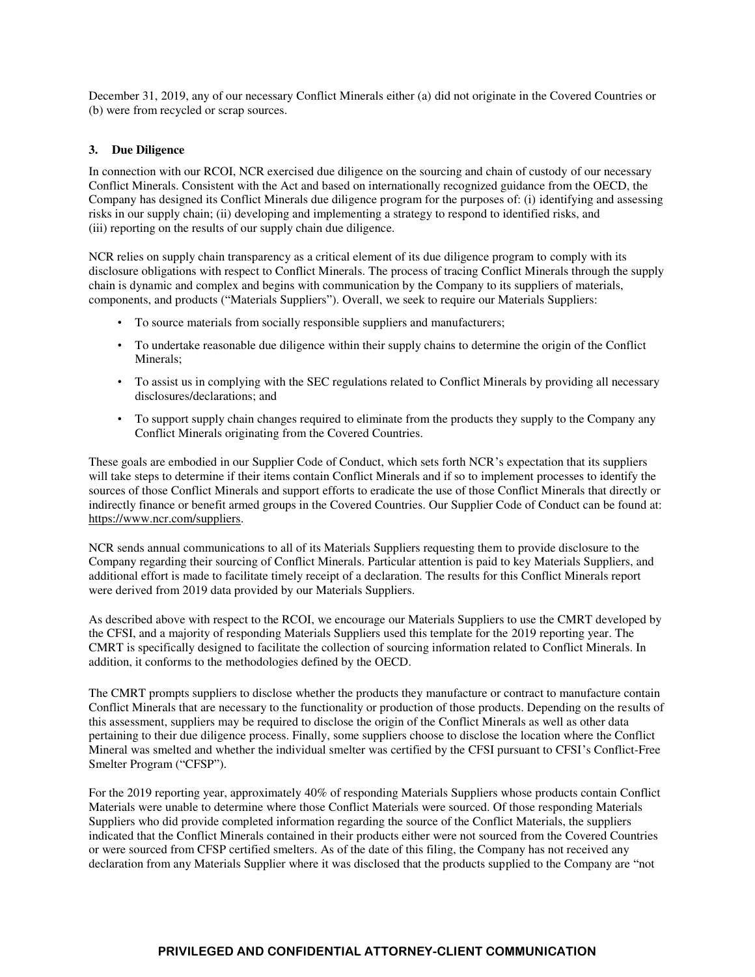December 31, 2019, any of our necessary Conflict Minerals either (a) did not originate in the Covered Countries or (b) were from recycled or scrap sources.

## **3. Due Diligence**

In connection with our RCOI, NCR exercised due diligence on the sourcing and chain of custody of our necessary Conflict Minerals. Consistent with the Act and based on internationally recognized guidance from the OECD, the Company has designed its Conflict Minerals due diligence program for the purposes of: (i) identifying and assessing risks in our supply chain; (ii) developing and implementing a strategy to respond to identified risks, and (iii) reporting on the results of our supply chain due diligence.

NCR relies on supply chain transparency as a critical element of its due diligence program to comply with its disclosure obligations with respect to Conflict Minerals. The process of tracing Conflict Minerals through the supply chain is dynamic and complex and begins with communication by the Company to its suppliers of materials, components, and products ("Materials Suppliers"). Overall, we seek to require our Materials Suppliers:

- To source materials from socially responsible suppliers and manufacturers;
- To undertake reasonable due diligence within their supply chains to determine the origin of the Conflict Minerals;
- To assist us in complying with the SEC regulations related to Conflict Minerals by providing all necessary disclosures/declarations; and
- To support supply chain changes required to eliminate from the products they supply to the Company any Conflict Minerals originating from the Covered Countries.

These goals are embodied in our Supplier Code of Conduct, which sets forth NCR's expectation that its suppliers will take steps to determine if their items contain Conflict Minerals and if so to implement processes to identify the sources of those Conflict Minerals and support efforts to eradicate the use of those Conflict Minerals that directly or indirectly finance or benefit armed groups in the Covered Countries. Our Supplier Code of Conduct can be found at: https://www.ncr.com/suppliers.

NCR sends annual communications to all of its Materials Suppliers requesting them to provide disclosure to the Company regarding their sourcing of Conflict Minerals. Particular attention is paid to key Materials Suppliers, and additional effort is made to facilitate timely receipt of a declaration. The results for this Conflict Minerals report were derived from 2019 data provided by our Materials Suppliers.

As described above with respect to the RCOI, we encourage our Materials Suppliers to use the CMRT developed by the CFSI, and a majority of responding Materials Suppliers used this template for the 2019 reporting year. The CMRT is specifically designed to facilitate the collection of sourcing information related to Conflict Minerals. In addition, it conforms to the methodologies defined by the OECD.

The CMRT prompts suppliers to disclose whether the products they manufacture or contract to manufacture contain Conflict Minerals that are necessary to the functionality or production of those products. Depending on the results of this assessment, suppliers may be required to disclose the origin of the Conflict Minerals as well as other data pertaining to their due diligence process. Finally, some suppliers choose to disclose the location where the Conflict Mineral was smelted and whether the individual smelter was certified by the CFSI pursuant to CFSI's Conflict-Free Smelter Program ("CFSP").

For the 2019 reporting year, approximately 40% of responding Materials Suppliers whose products contain Conflict Materials were unable to determine where those Conflict Materials were sourced. Of those responding Materials Suppliers who did provide completed information regarding the source of the Conflict Materials, the suppliers indicated that the Conflict Minerals contained in their products either were not sourced from the Covered Countries or were sourced from CFSP certified smelters. As of the date of this filing, the Company has not received any declaration from any Materials Supplier where it was disclosed that the products supplied to the Company are "not